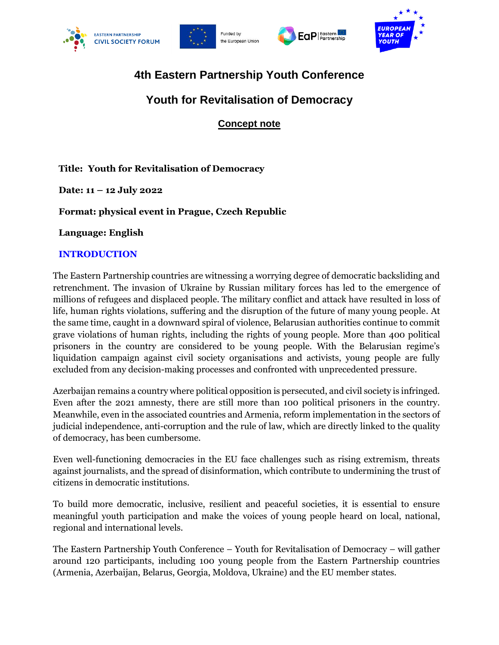







# **4th Eastern Partnership Youth Conference**

## **Youth for Revitalisation of Democracy**

**Concept note**

## **Title: Youth for Revitalisation of Democracy**

**Date: 11 – 12 July 2022**

**Format: physical event in Prague, Czech Republic**

**Language: English**

## **INTRODUCTION**

The Eastern Partnership countries are witnessing a worrying degree of democratic backsliding and retrenchment. The invasion of Ukraine by Russian military forces has led to the emergence of millions of refugees and displaced people. The military conflict and attack have resulted in loss of life, human rights violations, suffering and the disruption of the future of many young people. At the same time, caught in a downward spiral of violence, Belarusian authorities continue to commit grave violations of human rights, including the rights of young people. More than 400 political prisoners in the country are considered to be young people. With the Belarusian regime's liquidation campaign against civil society organisations and activists, young people are fully excluded from any decision-making processes and confronted with unprecedented pressure.

Azerbaijan remains a country where political opposition is persecuted, and civil society is infringed. Even after the 2021 amnesty, there are still more than 100 political prisoners in the country. Meanwhile, even in the associated countries and Armenia, reform implementation in the sectors of judicial independence, anti-corruption and the rule of law, which are directly linked to the quality of democracy, has been cumbersome.

Even well-functioning democracies in the EU face challenges such as rising extremism, threats against journalists, and the spread of disinformation, which contribute to undermining the trust of citizens in democratic institutions.

To build more democratic, inclusive, resilient and peaceful societies, it is essential to ensure meaningful youth participation and make the voices of young people heard on local, national, regional and international levels.

The Eastern Partnership Youth Conference – Youth for Revitalisation of Democracy – will gather around 120 participants, including 100 young people from the Eastern Partnership countries (Armenia, Azerbaijan, Belarus, Georgia, Moldova, Ukraine) and the EU member states.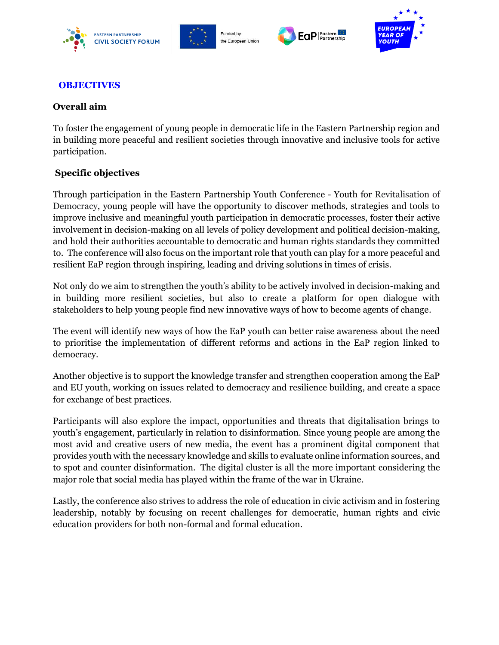







#### **OBJECTIVES**

#### **Overall aim**

To foster the engagement of young people in democratic life in the Eastern Partnership region and in building more peaceful and resilient societies through innovative and inclusive tools for active participation.

### **Specific objectives**

Through participation in the Eastern Partnership Youth Conference - Youth for Revitalisation of Democracy, young people will have the opportunity to discover methods, strategies and tools to improve inclusive and meaningful youth participation in democratic processes, foster their active involvement in decision-making on all levels of policy development and political decision-making, and hold their authorities accountable to democratic and human rights standards they committed to. The conference will also focus on the important role that youth can play for a more peaceful and resilient EaP region through inspiring, leading and driving solutions in times of crisis.

Not only do we aim to strengthen the youth's ability to be actively involved in decision-making and in building more resilient societies, but also to create a platform for open dialogue with stakeholders to help young people find new innovative ways of how to become agents of change.

The event will identify new ways of how the EaP youth can better raise awareness about the need to prioritise the implementation of different reforms and actions in the EaP region linked to democracy.

Another objective is to support the knowledge transfer and strengthen cooperation among the EaP and EU youth, working on issues related to democracy and resilience building, and create a space for exchange of best practices.

Participants will also explore the impact, opportunities and threats that digitalisation brings to youth's engagement, particularly in relation to disinformation. Since young people are among the most avid and creative users of new media, the event has a prominent digital component that provides youth with the necessary knowledge and skills to evaluate online information sources, and to spot and counter disinformation. The digital cluster is all the more important considering the major role that social media has played within the frame of the war in Ukraine.

Lastly, the conference also strives to address the role of education in civic activism and in fostering leadership, notably by focusing on recent challenges for democratic, human rights and civic education providers for both non-formal and formal education.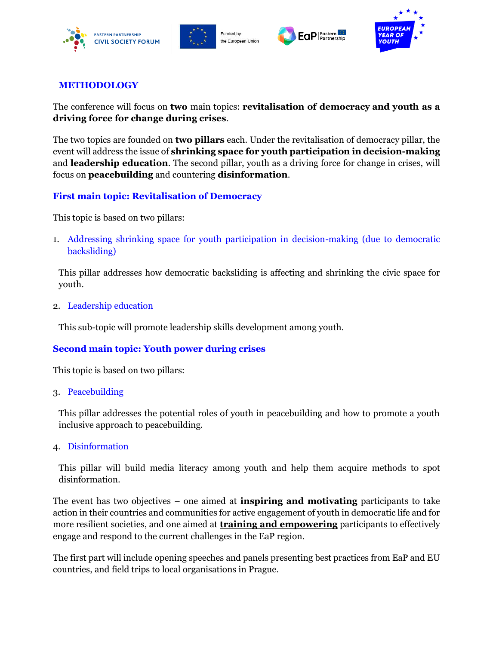







### **METHODOLOGY**

The conference will focus on **two** main topics: **revitalisation of democracy and youth as a driving force for change during crises**.

The two topics are founded on **two pillars** each. Under the revitalisation of democracy pillar, the event will address the issue of **shrinking space for youth participation in decision-making**  and **leadership education**. The second pillar, youth as a driving force for change in crises, will focus on **peacebuilding** and countering **disinformation**.

### **First main topic: Revitalisation of Democracy**

This topic is based on two pillars:

1. Addressing shrinking space for youth participation in decision-making (due to democratic backsliding)

This pillar addresses how democratic backsliding is affecting and shrinking the civic space for youth.

2. Leadership education

This sub-topic will promote leadership skills development among youth.

### **Second main topic: Youth power during crises**

This topic is based on two pillars:

3. Peacebuilding

This pillar addresses the potential roles of youth in peacebuilding and how to promote a youth inclusive approach to peacebuilding.

#### 4. Disinformation

This pillar will build media literacy among youth and help them acquire methods to spot disinformation.

The event has two objectives – one aimed at **inspiring and motivating** participants to take action in their countries and communities for active engagement of youth in democratic life and for more resilient societies, and one aimed at **training and empowering** participants to effectively engage and respond to the current challenges in the EaP region.

The first part will include opening speeches and panels presenting best practices from EaP and EU countries, and field trips to local organisations in Prague.